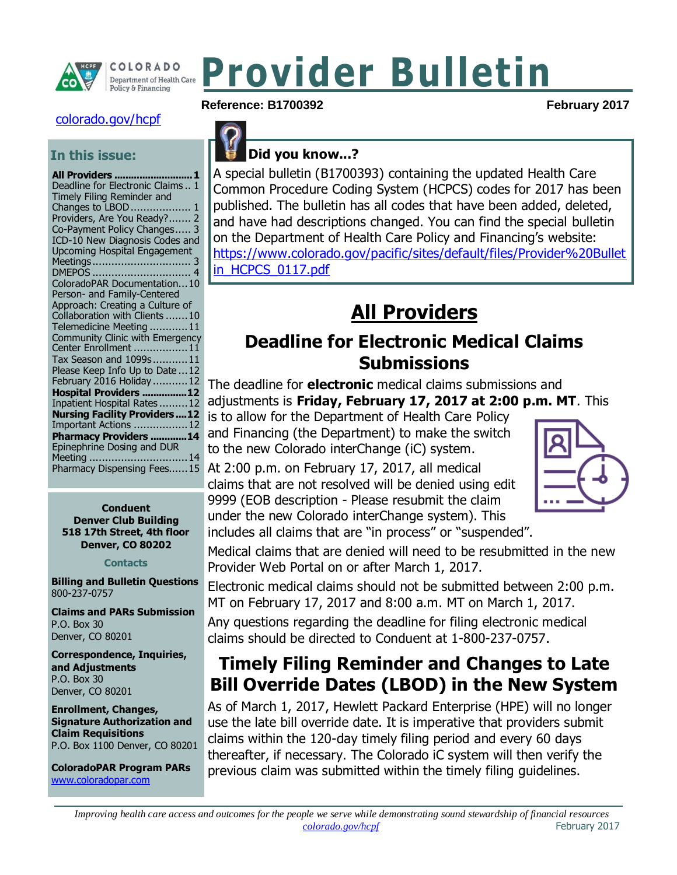

# **Provider Bulletin**

#### [colorado.gov/hcpf](http://www.colorado.gov/hcpf)

#### **In this issue:**

| All Providers  1                                             |
|--------------------------------------------------------------|
| Deadline for Electronic Claims 1                             |
| Timely Filing Reminder and                                   |
| Changes to LBOD  1                                           |
| Providers, Are You Ready? 2                                  |
| Co-Payment Policy Changes 3                                  |
| ICD-10 New Diagnosis Codes and                               |
| <b>Upcoming Hospital Engagement</b>                          |
|                                                              |
|                                                              |
| ColoradoPAR Documentation10                                  |
| Person- and Family-Centered                                  |
| Approach: Creating a Culture of                              |
| Collaboration with Clients 10                                |
| Telemedicine Meeting 11                                      |
| Community Clinic with Emergency                              |
| Center Enrollment 11                                         |
| Tax Season and 1099s11                                       |
| Please Keep Info Up to Date  12                              |
| February 2016 Holiday  12                                    |
| Hospital Providers 12                                        |
| Inpatient Hospital Rates12                                   |
| <b>Nursing Facility Providers12</b><br>Important Actions  12 |
| Pharmacy Providers 14                                        |
| Epinephrine Dosing and DUR                                   |
| Meeting 14                                                   |
| Pharmacy Dispensing Fees15                                   |
|                                                              |

#### **Conduent Denver Club Building 518 17th Street, 4th floor Denver, CO 80202**

#### **Contacts**

**Billing and Bulletin Questions** 800-237-0757

**Claims and PARs Submission** P.O. Box 30 Denver, CO 80201

**Correspondence, Inquiries, and Adjustments** P.O. Box 30 Denver, CO 80201

**Enrollment, Changes, Signature Authorization and Claim Requisitions** P.O. Box 1100 Denver, CO 80201

**ColoradoPAR Program PARs**  [www.coloradopar.com](http://www.coloradopar.com/)

#### Reference: B1700392 **February 2017**

# **Did you know...?**

A special bulletin (B1700393) containing the updated Health Care Common Procedure Coding System (HCPCS) codes for 2017 has been published. The bulletin has all codes that have been added, deleted, and have had descriptions changed. You can find the special bulletin on the Department of Health Care Policy and Financing's website: [https://www.colorado.gov/pacific/sites/default/files/Provider%20Bullet](https://www.colorado.gov/pacific/sites/default/files/Provider%20Bulletin_HCPCS_0117.pdf) [in\\_HCPCS\\_0117.pdf](https://www.colorado.gov/pacific/sites/default/files/Provider%20Bulletin_HCPCS_0117.pdf)

# **All Providers**

#### <span id="page-0-1"></span><span id="page-0-0"></span>**Deadline for Electronic Medical Claims Submissions**

The deadline for **electronic** medical claims submissions and adjustments is **Friday, February 17, 2017 at 2:00 p.m. MT**. This

is to allow for the Department of Health Care Policy and Financing (the Department) to make the switch to the new Colorado interChange (iC) system.

At 2:00 p.m. on February 17, 2017, all medical claims that are not resolved will be denied using edit 9999 (EOB description - Please resubmit the claim under the new Colorado interChange system). This includes all claims that are "in process" or "suspended".



Medical claims that are denied will need to be resubmitted in the new Provider Web Portal on or after March 1, 2017.

Electronic medical claims should not be submitted between 2:00 p.m. MT on February 17, 2017 and 8:00 a.m. MT on March 1, 2017.

Any questions regarding the deadline for filing electronic medical claims should be directed to Conduent at 1-800-237-0757.

### <span id="page-0-2"></span>**Timely Filing Reminder and Changes to Late Bill Override Dates (LBOD) in the New System**

As of March 1, 2017, Hewlett Packard Enterprise (HPE) will no longer use the late bill override date. It is imperative that providers submit claims within the 120-day timely filing period and every 60 days thereafter, if necessary. The Colorado iC system will then verify the previous claim was submitted within the timely filing guidelines.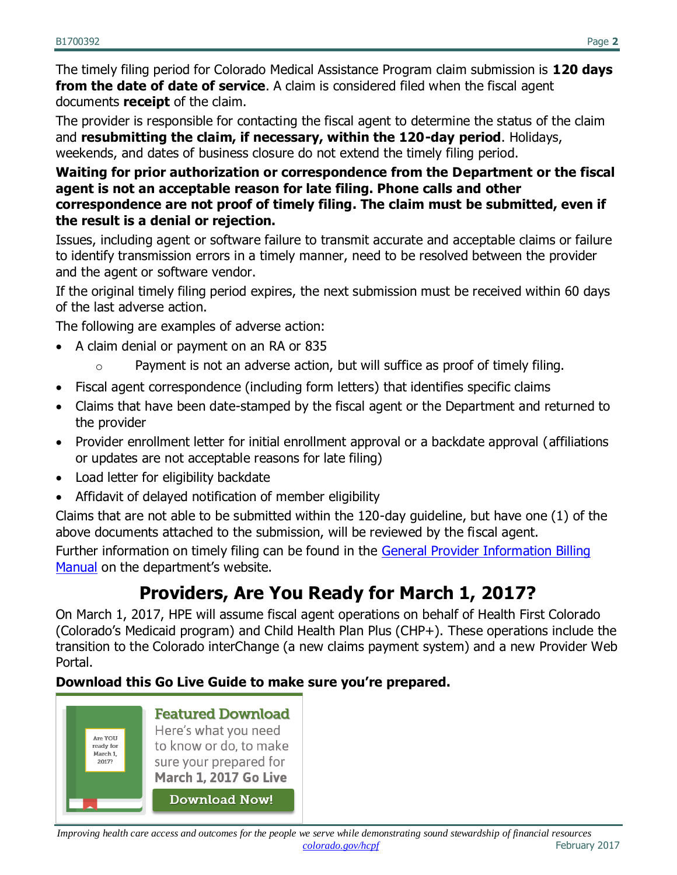The timely filing period for Colorado Medical Assistance Program claim submission is **120 days from the date of date of service.** A claim is considered filed when the fiscal agent documents **receipt** of the claim.

The provider is responsible for contacting the fiscal agent to determine the status of the claim and **resubmitting the claim, if necessary, within the 120-day period**. Holidays, weekends, and dates of business closure do not extend the timely filing period.

#### **Waiting for prior authorization or correspondence from the Department or the fiscal agent is not an acceptable reason for late filing. Phone calls and other correspondence are not proof of timely filing. The claim must be submitted, even if the result is a denial or rejection.**

Issues, including agent or software failure to transmit accurate and acceptable claims or failure to identify transmission errors in a timely manner, need to be resolved between the provider and the agent or software vendor.

If the original timely filing period expires, the next submission must be received within 60 days of the last adverse action.

The following are examples of adverse action:

- A claim denial or payment on an RA or 835
	- o Payment is not an adverse action, but will suffice as proof of timely filing.
- Fiscal agent correspondence (including form letters) that identifies specific claims
- Claims that have been date-stamped by the fiscal agent or the Department and returned to the provider
- Provider enrollment letter for initial enrollment approval or a backdate approval (affiliations or updates are not acceptable reasons for late filing)
- Load letter for eligibility backdate
- Affidavit of delayed notification of member eligibility

Claims that are not able to be submitted within the 120-day guideline, but have one (1) of the above documents attached to the submission, will be reviewed by the fiscal agent.

Further information on timely filing can be found in the [General Provider Information Billing](https://www.colorado.gov/hcpf/billing-manuals)  [Manual](https://www.colorado.gov/hcpf/billing-manuals) on the department's website.

# **Providers, Are You Ready for March 1, 2017?**

<span id="page-1-0"></span>On March 1, 2017, HPE will assume fiscal agent operations on behalf of Health First Colorado (Colorado's Medicaid program) and Child Health Plan Plus (CHP+). These operations include the transition to the Colorado interChange (a new claims payment system) and a new Provider Web Portal.

#### **Download this Go Live Guide to make sure you're prepared.**

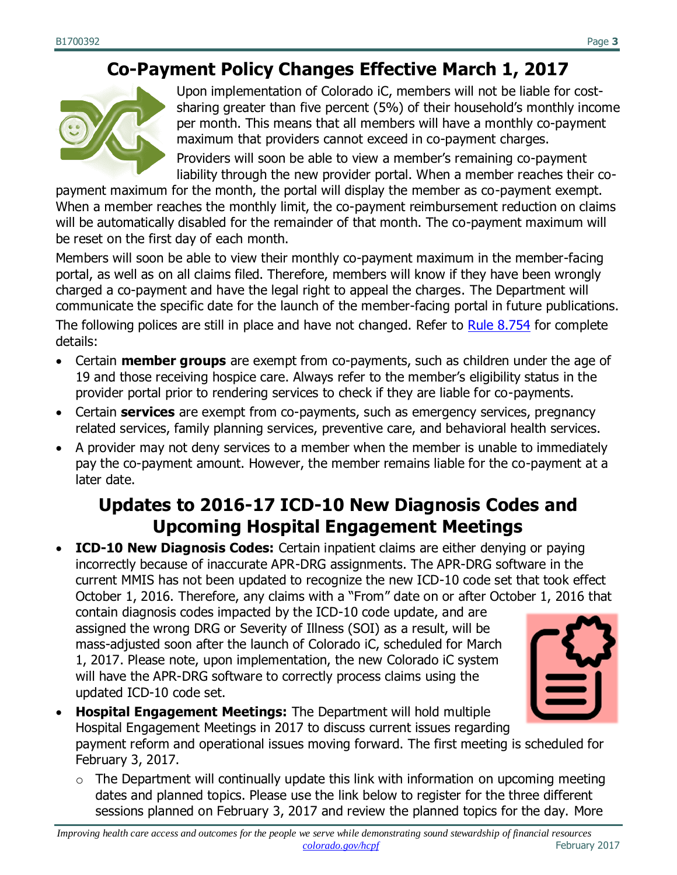### **Co-Payment Policy Changes Effective March 1, 2017**

<span id="page-2-0"></span>

Upon implementation of Colorado iC, members will not be liable for costsharing greater than five percent (5%) of their household's monthly income per month. This means that all members will have a monthly co-payment maximum that providers cannot exceed in co-payment charges.

Providers will soon be able to view a member's remaining co-payment liability through the new provider portal. When a member reaches their co-

payment maximum for the month, the portal will display the member as co-payment exempt. When a member reaches the monthly limit, the co-payment reimbursement reduction on claims will be automatically disabled for the remainder of that month. The co-payment maximum will be reset on the first day of each month.

Members will soon be able to view their monthly co-payment maximum in the member-facing portal, as well as on all claims filed. Therefore, members will know if they have been wrongly charged a co-payment and have the legal right to appeal the charges. The Department will communicate the specific date for the launch of the member-facing portal in future publications. The following polices are still in place and have not changed. Refer to [Rule 8.754](https://www.colorado.gov/hcpf/department-program-rules-and-regulations) for complete details:

- Certain **member groups** are exempt from co-payments, such as children under the age of 19 and those receiving hospice care. Always refer to the member's eligibility status in the provider portal prior to rendering services to check if they are liable for co-payments.
- Certain **services** are exempt from co-payments, such as emergency services, pregnancy related services, family planning services, preventive care, and behavioral health services.
- A provider may not deny services to a member when the member is unable to immediately pay the co-payment amount. However, the member remains liable for the co-payment at a later date.

### <span id="page-2-1"></span>**Updates to 2016-17 ICD-10 New Diagnosis Codes and Upcoming Hospital Engagement Meetings**

 **ICD-10 New Diagnosis Codes:** Certain inpatient claims are either denying or paying incorrectly because of inaccurate APR-DRG assignments. The APR-DRG software in the current MMIS has not been updated to recognize the new ICD-10 code set that took effect October 1, 2016. Therefore, any claims with a "From" date on or after October 1, 2016 that

contain diagnosis codes impacted by the ICD-10 code update, and are assigned the wrong DRG or Severity of Illness (SOI) as a result, will be mass-adjusted soon after the launch of Colorado iC, scheduled for March 1, 2017. Please note, upon implementation, the new Colorado iC system will have the APR-DRG software to correctly process claims using the updated ICD-10 code set.



- **Hospital Engagement Meetings:** The Department will hold multiple Hospital Engagement Meetings in 2017 to discuss current issues regarding payment reform and operational issues moving forward. The first meeting is scheduled for February 3, 2017.
	- $\circ$  The Department will continually update this link with information on upcoming meeting dates and planned topics. Please use the link below to register for the three different sessions planned on February 3, 2017 and review the planned topics for the day. More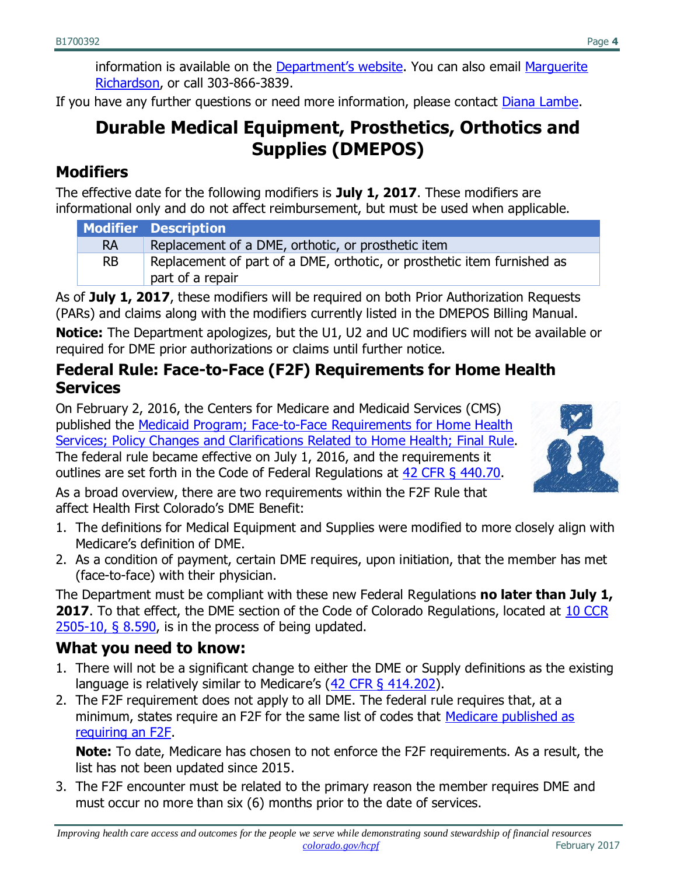information is available on the [Department's website](https://www.colorado.gov/hcpf/inpatient-hospital-payment). You can also email [Marguerite](mailto:marguerite.richardson@state.co.us)  [Richardson,](mailto:marguerite.richardson@state.co.us) or call 303-866-3839.

<span id="page-3-0"></span>If you have any further questions or need more information, please contact **Diana Lambe**.

### **Durable Medical Equipment, Prosthetics, Orthotics and Supplies (DMEPOS)**

#### **Modifiers**

The effective date for the following modifiers is **July 1, 2017**. These modifiers are informational only and do not affect reimbursement, but must be used when applicable.

|           | <b>Modifier Description</b>                                                                 |  |
|-----------|---------------------------------------------------------------------------------------------|--|
| <b>RA</b> | Replacement of a DME, orthotic, or prosthetic item                                          |  |
| RB.       | Replacement of part of a DME, orthotic, or prosthetic item furnished as<br>part of a repair |  |

As of **July 1, 2017**, these modifiers will be required on both Prior Authorization Requests (PARs) and claims along with the modifiers currently listed in the DMEPOS Billing Manual.

**Notice:** The Department apologizes, but the U1, U2 and UC modifiers will not be available or required for DME prior authorizations or claims until further notice.

#### **Federal Rule: Face-to-Face (F2F) Requirements for Home Health Services**

On February 2, 2016, the Centers for Medicare and Medicaid Services (CMS) published the [Medicaid Program; Face-to-Face Requirements for Home Health](https://www.federalregister.gov/documents/2016/02/02/2016-01585/medicaid-program-face-to-face-requirements-for-home-health-services-policy-changes-and)  [Services; Policy Changes and Clarifications Related to Home Health; Final Rule.](https://www.federalregister.gov/documents/2016/02/02/2016-01585/medicaid-program-face-to-face-requirements-for-home-health-services-policy-changes-and) The federal rule became effective on July 1, 2016, and the requirements it outlines are set forth in the Code of Federal Regulations at [42 CFR § 440.70.](http://www.ecfr.gov/cgi-bin/text-idx?SID=9a0f2dd766de30383965c59f0a850d00&mc=true&node=se42.4.440_170&rgn=div8)



As a broad overview, there are two requirements within the F2F Rule that affect Health First Colorado's DME Benefit:

- 1. The definitions for Medical Equipment and Supplies were modified to more closely align with Medicare's definition of DME.
- 2. As a condition of payment, certain DME requires, upon initiation, that the member has met (face-to-face) with their physician.

The Department must be compliant with these new Federal Regulations **no later than July 1, 2017**. To that effect, the DME section of the Code of Colorado Regulations, located at 10 CCR [2505-10, § 8.590,](http://www.sos.state.co.us/CCR/DisplayRule.do?action=ruleinfo&ruleId=2922&deptID=7&agencyID=69&deptName=2505,1305%20Department%20of%20Health%20Care%20Policy%20and%20Financing&agencyName=2505%20Medical%20Services%20Board%20(Volume%208;%20Medical%20Assistance,%20Children%27s%20Health%20Plan)&seriesNum=10%20CCR%202505-10%208.500) is in the process of being updated.

#### **What you need to know:**

- 1. There will not be a significant change to either the DME or Supply definitions as the existing language is relatively similar to Medicare's ([42 CFR § 414.202\)](https://www.gpo.gov/fdsys/pkg/CFR-2002-title42-vol2/pdf/CFR-2002-title42-vol2-part414-subpartC.pdf).
- 2. The F2F requirement does not apply to all DME. The federal rule requires that, at a minimum, states require an F2F for the same list of codes that Medicare published as [requiring an F2F.](https://www.cms.gov/Research-Statistics-Data-and-Systems/Monitoring-Programs/Medicare-FFS-Compliance-Programs/Medical-Review/FacetoFaceEncounterRequirementforCertainDurableMedicalEquipment.html)

**Note:** To date, Medicare has chosen to not enforce the F2F requirements. As a result, the list has not been updated since 2015.

3. The F2F encounter must be related to the primary reason the member requires DME and must occur no more than six (6) months prior to the date of services.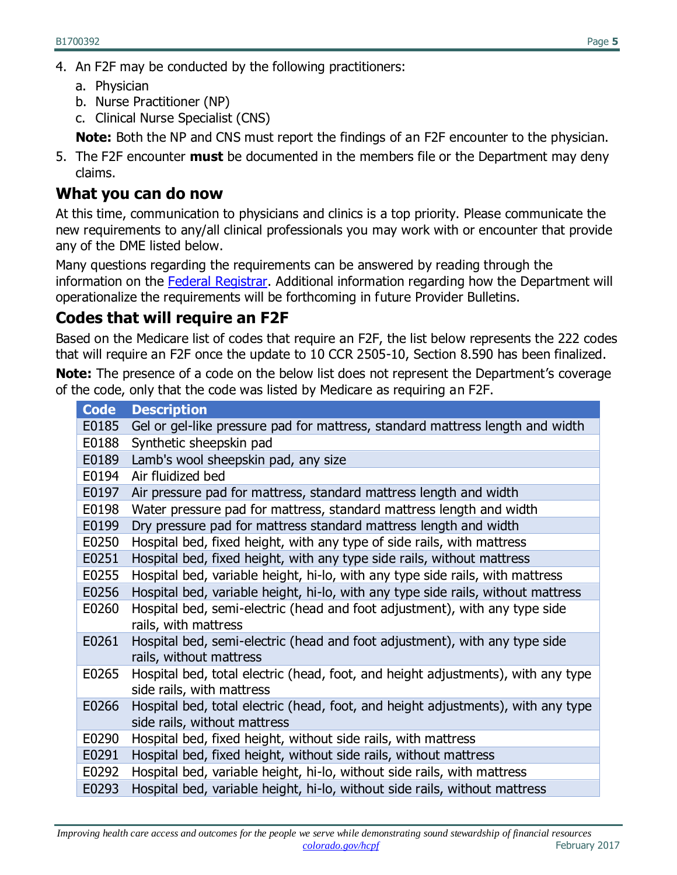- 4. An F2F may be conducted by the following practitioners:
	- a. Physician
	- b. Nurse Practitioner (NP)
	- c. Clinical Nurse Specialist (CNS)

**Note:** Both the NP and CNS must report the findings of an F2F encounter to the physician.

5. The F2F encounter **must** be documented in the members file or the Department may deny claims.

#### **What you can do now**

At this time, communication to physicians and clinics is a top priority. Please communicate the new requirements to any/all clinical professionals you may work with or encounter that provide any of the DME listed below.

Many questions regarding the requirements can be answered by reading through the information on the [Federal Registrar.](https://www.cms.gov/Research-Statistics-Data-and-Systems/Monitoring-Programs/Medicare-FFS-Compliance-Programs/Medical-Review/FacetoFaceEncounterRequirementforCertainDurableMedicalEquipment.html) Additional information regarding how the Department will operationalize the requirements will be forthcoming in future Provider Bulletins.

#### **Codes that will require an F2F**

Based on the Medicare list of codes that require an F2F, the list below represents the 222 codes that will require an F2F once the update to 10 CCR 2505-10, Section 8.590 has been finalized.

**Note:** The presence of a code on the below list does not represent the Department's coverage of the code, only that the code was listed by Medicare as requiring an F2F.

| <b>Code</b> | <b>Description</b>                                                               |
|-------------|----------------------------------------------------------------------------------|
| E0185       | Gel or gel-like pressure pad for mattress, standard mattress length and width    |
| E0188       | Synthetic sheepskin pad                                                          |
| E0189       | Lamb's wool sheepskin pad, any size                                              |
| E0194       | Air fluidized bed                                                                |
| E0197       | Air pressure pad for mattress, standard mattress length and width                |
| E0198       | Water pressure pad for mattress, standard mattress length and width              |
| E0199       | Dry pressure pad for mattress standard mattress length and width                 |
| E0250       | Hospital bed, fixed height, with any type of side rails, with mattress           |
| E0251       | Hospital bed, fixed height, with any type side rails, without mattress           |
| E0255       | Hospital bed, variable height, hi-lo, with any type side rails, with mattress    |
| E0256       | Hospital bed, variable height, hi-lo, with any type side rails, without mattress |
| E0260       | Hospital bed, semi-electric (head and foot adjustment), with any type side       |
|             | rails, with mattress                                                             |
| E0261       | Hospital bed, semi-electric (head and foot adjustment), with any type side       |
|             | rails, without mattress                                                          |
| E0265       | Hospital bed, total electric (head, foot, and height adjustments), with any type |
|             | side rails, with mattress                                                        |
| E0266       | Hospital bed, total electric (head, foot, and height adjustments), with any type |
|             | side rails, without mattress                                                     |
| E0290       | Hospital bed, fixed height, without side rails, with mattress                    |
| E0291       | Hospital bed, fixed height, without side rails, without mattress                 |
| E0292       | Hospital bed, variable height, hi-lo, without side rails, with mattress          |
| E0293       | Hospital bed, variable height, hi-lo, without side rails, without mattress       |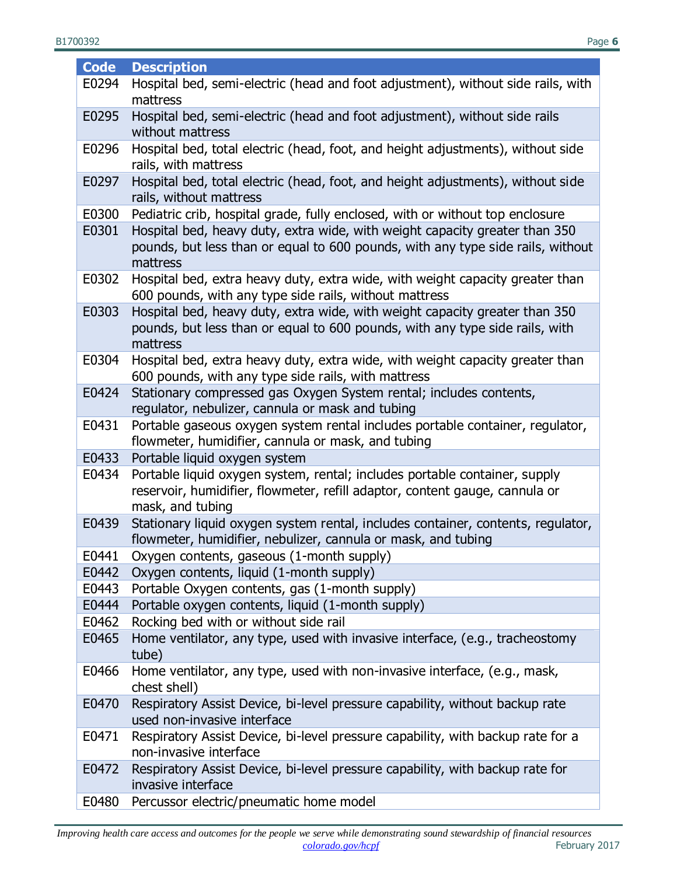| <b>Code</b> | <b>Description</b>                                                               |  |  |
|-------------|----------------------------------------------------------------------------------|--|--|
| E0294       | Hospital bed, semi-electric (head and foot adjustment), without side rails, with |  |  |
|             | mattress                                                                         |  |  |
| E0295       | Hospital bed, semi-electric (head and foot adjustment), without side rails       |  |  |
|             | without mattress                                                                 |  |  |
| E0296       | Hospital bed, total electric (head, foot, and height adjustments), without side  |  |  |
|             | rails, with mattress                                                             |  |  |
| E0297       | Hospital bed, total electric (head, foot, and height adjustments), without side  |  |  |
|             | rails, without mattress                                                          |  |  |
| E0300       | Pediatric crib, hospital grade, fully enclosed, with or without top enclosure    |  |  |
| E0301       | Hospital bed, heavy duty, extra wide, with weight capacity greater than 350      |  |  |
|             | pounds, but less than or equal to 600 pounds, with any type side rails, without  |  |  |
|             | mattress                                                                         |  |  |
| E0302       | Hospital bed, extra heavy duty, extra wide, with weight capacity greater than    |  |  |
|             | 600 pounds, with any type side rails, without mattress                           |  |  |
| E0303       | Hospital bed, heavy duty, extra wide, with weight capacity greater than 350      |  |  |
|             | pounds, but less than or equal to 600 pounds, with any type side rails, with     |  |  |
|             | mattress                                                                         |  |  |
| E0304       | Hospital bed, extra heavy duty, extra wide, with weight capacity greater than    |  |  |
|             | 600 pounds, with any type side rails, with mattress                              |  |  |
| E0424       | Stationary compressed gas Oxygen System rental; includes contents,               |  |  |
|             | regulator, nebulizer, cannula or mask and tubing                                 |  |  |
| E0431       | Portable gaseous oxygen system rental includes portable container, regulator,    |  |  |
|             | flowmeter, humidifier, cannula or mask, and tubing                               |  |  |
| E0433       | Portable liquid oxygen system                                                    |  |  |
| E0434       | Portable liquid oxygen system, rental; includes portable container, supply       |  |  |
|             | reservoir, humidifier, flowmeter, refill adaptor, content gauge, cannula or      |  |  |
|             | mask, and tubing                                                                 |  |  |
| E0439       | Stationary liquid oxygen system rental, includes container, contents, regulator, |  |  |
|             | flowmeter, humidifier, nebulizer, cannula or mask, and tubing                    |  |  |
| E0441       | Oxygen contents, gaseous (1-month supply)                                        |  |  |
| E0442       | Oxygen contents, liquid (1-month supply)                                         |  |  |
| E0443       | Portable Oxygen contents, gas (1-month supply)                                   |  |  |
| E0444       | Portable oxygen contents, liquid (1-month supply)                                |  |  |
| E0462       | Rocking bed with or without side rail                                            |  |  |
| E0465       | Home ventilator, any type, used with invasive interface, (e.g., tracheostomy     |  |  |
|             | tube)                                                                            |  |  |
| E0466       | Home ventilator, any type, used with non-invasive interface, (e.g., mask,        |  |  |
|             | chest shell)                                                                     |  |  |
| E0470       | Respiratory Assist Device, bi-level pressure capability, without backup rate     |  |  |
|             | used non-invasive interface                                                      |  |  |
| E0471       | Respiratory Assist Device, bi-level pressure capability, with backup rate for a  |  |  |
|             | non-invasive interface                                                           |  |  |
| E0472       | Respiratory Assist Device, bi-level pressure capability, with backup rate for    |  |  |
|             | invasive interface                                                               |  |  |
| E0480       | Percussor electric/pneumatic home model                                          |  |  |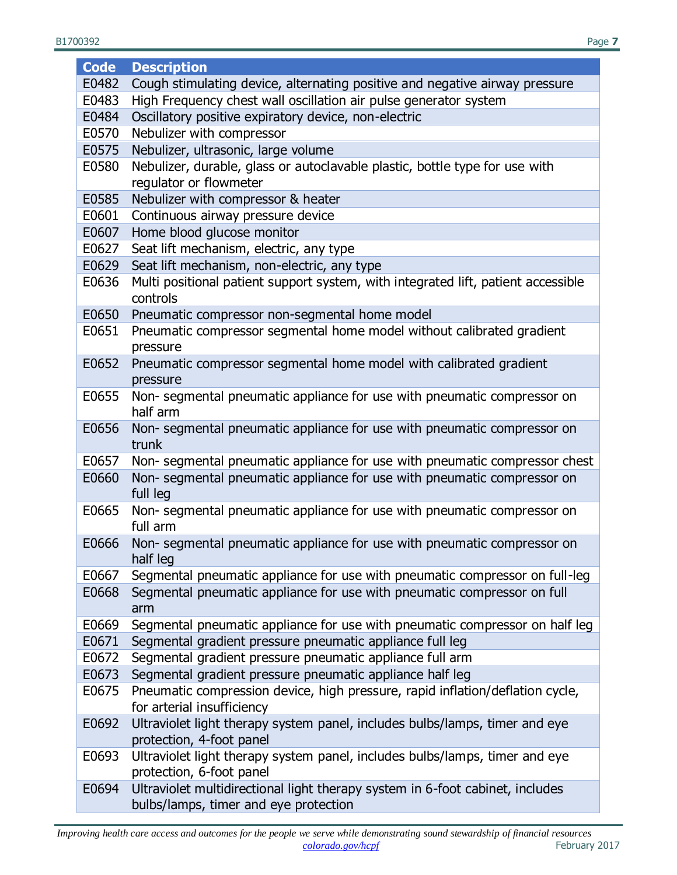B1700392 Page **7**

| <b>Code</b> | <b>Description</b>                                                                  |  |  |
|-------------|-------------------------------------------------------------------------------------|--|--|
| E0482       | Cough stimulating device, alternating positive and negative airway pressure         |  |  |
| E0483       | High Frequency chest wall oscillation air pulse generator system                    |  |  |
| E0484       | Oscillatory positive expiratory device, non-electric                                |  |  |
| E0570       | Nebulizer with compressor                                                           |  |  |
| E0575       | Nebulizer, ultrasonic, large volume                                                 |  |  |
| E0580       | Nebulizer, durable, glass or autoclavable plastic, bottle type for use with         |  |  |
|             | regulator or flowmeter                                                              |  |  |
| E0585       | Nebulizer with compressor & heater                                                  |  |  |
| E0601       | Continuous airway pressure device                                                   |  |  |
| E0607       | Home blood glucose monitor                                                          |  |  |
| E0627       | Seat lift mechanism, electric, any type                                             |  |  |
| E0629       | Seat lift mechanism, non-electric, any type                                         |  |  |
| E0636       | Multi positional patient support system, with integrated lift, patient accessible   |  |  |
|             | controls                                                                            |  |  |
| E0650       | Pneumatic compressor non-segmental home model                                       |  |  |
| E0651       | Pneumatic compressor segmental home model without calibrated gradient               |  |  |
|             | pressure                                                                            |  |  |
| E0652       | Pneumatic compressor segmental home model with calibrated gradient                  |  |  |
|             | pressure                                                                            |  |  |
| E0655       | Non-segmental pneumatic appliance for use with pneumatic compressor on              |  |  |
|             | half arm                                                                            |  |  |
| E0656       | Non- segmental pneumatic appliance for use with pneumatic compressor on             |  |  |
|             | trunk                                                                               |  |  |
| E0657       | Non-segmental pneumatic appliance for use with pneumatic compressor chest           |  |  |
| E0660       | Non- segmental pneumatic appliance for use with pneumatic compressor on<br>full leg |  |  |
| E0665       | Non-segmental pneumatic appliance for use with pneumatic compressor on<br>full arm  |  |  |
| E0666       | Non-segmental pneumatic appliance for use with pneumatic compressor on<br>half leg  |  |  |
| E0667       | Segmental pneumatic appliance for use with pneumatic compressor on full-leg         |  |  |
| E0668       | Segmental pneumatic appliance for use with pneumatic compressor on full             |  |  |
|             | arm                                                                                 |  |  |
| E0669       | Segmental pneumatic appliance for use with pneumatic compressor on half leg         |  |  |
| E0671       | Segmental gradient pressure pneumatic appliance full leg                            |  |  |
| E0672       | Segmental gradient pressure pneumatic appliance full arm                            |  |  |
| E0673       | Segmental gradient pressure pneumatic appliance half leg                            |  |  |
| E0675       | Pneumatic compression device, high pressure, rapid inflation/deflation cycle,       |  |  |
|             | for arterial insufficiency                                                          |  |  |
| E0692       | Ultraviolet light therapy system panel, includes bulbs/lamps, timer and eye         |  |  |
|             | protection, 4-foot panel                                                            |  |  |
| E0693       | Ultraviolet light therapy system panel, includes bulbs/lamps, timer and eye         |  |  |
|             | protection, 6-foot panel                                                            |  |  |
| E0694       | Ultraviolet multidirectional light therapy system in 6-foot cabinet, includes       |  |  |
|             | bulbs/lamps, timer and eye protection                                               |  |  |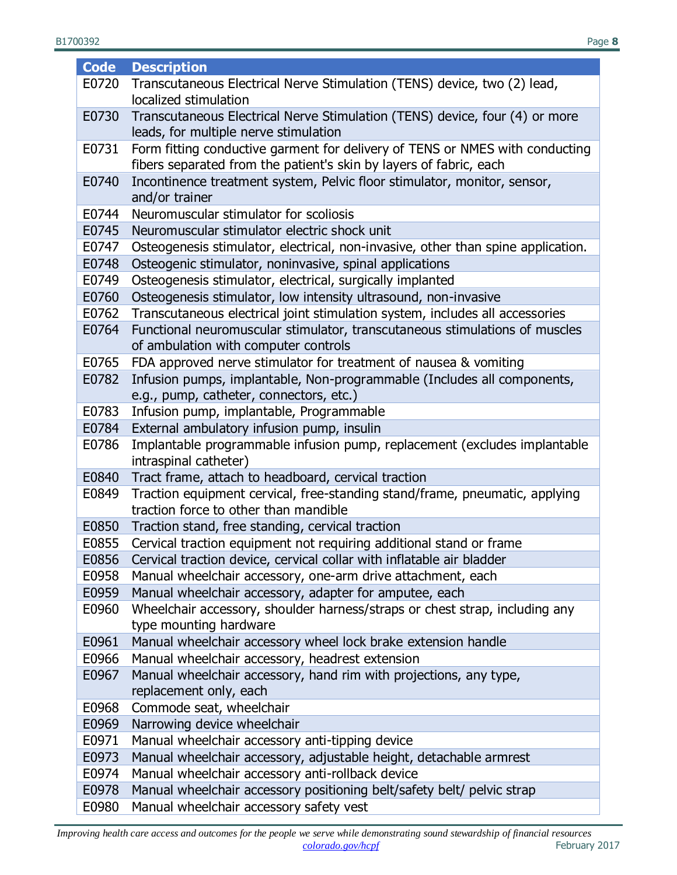| <b>Code</b>    | <b>Description</b>                                                                                 |  |
|----------------|----------------------------------------------------------------------------------------------------|--|
| E0720          | Transcutaneous Electrical Nerve Stimulation (TENS) device, two (2) lead,                           |  |
|                | localized stimulation                                                                              |  |
| E0730          | Transcutaneous Electrical Nerve Stimulation (TENS) device, four (4) or more                        |  |
|                | leads, for multiple nerve stimulation                                                              |  |
| E0731          | Form fitting conductive garment for delivery of TENS or NMES with conducting                       |  |
|                | fibers separated from the patient's skin by layers of fabric, each                                 |  |
| E0740          | Incontinence treatment system, Pelvic floor stimulator, monitor, sensor,                           |  |
|                | and/or trainer                                                                                     |  |
| E0744          | Neuromuscular stimulator for scoliosis                                                             |  |
| E0745          | Neuromuscular stimulator electric shock unit                                                       |  |
| E0747          | Osteogenesis stimulator, electrical, non-invasive, other than spine application.                   |  |
| E0748          | Osteogenic stimulator, noninvasive, spinal applications                                            |  |
| E0749          | Osteogenesis stimulator, electrical, surgically implanted                                          |  |
| E0760          | Osteogenesis stimulator, low intensity ultrasound, non-invasive                                    |  |
| E0762          | Transcutaneous electrical joint stimulation system, includes all accessories                       |  |
| E0764          | Functional neuromuscular stimulator, transcutaneous stimulations of muscles                        |  |
|                | of ambulation with computer controls                                                               |  |
| E0765          | FDA approved nerve stimulator for treatment of nausea & vomiting                                   |  |
| E0782          | Infusion pumps, implantable, Non-programmable (Includes all components,                            |  |
|                | e.g., pump, catheter, connectors, etc.)                                                            |  |
| E0783          | Infusion pump, implantable, Programmable                                                           |  |
| E0784          | External ambulatory infusion pump, insulin                                                         |  |
| E0786          | Implantable programmable infusion pump, replacement (excludes implantable<br>intraspinal catheter) |  |
| E0840          | Tract frame, attach to headboard, cervical traction                                                |  |
| E0849          | Traction equipment cervical, free-standing stand/frame, pneumatic, applying                        |  |
|                | traction force to other than mandible                                                              |  |
| E0850          | Traction stand, free standing, cervical traction                                                   |  |
| E0855          | Cervical traction equipment not requiring additional stand or frame                                |  |
| E0856          | Cervical traction device, cervical collar with inflatable air bladder                              |  |
| E0958          | Manual wheelchair accessory, one-arm drive attachment, each                                        |  |
| E0959          | Manual wheelchair accessory, adapter for amputee, each                                             |  |
| E0960          | Wheelchair accessory, shoulder harness/straps or chest strap, including any                        |  |
|                | type mounting hardware                                                                             |  |
| E0961          | Manual wheelchair accessory wheel lock brake extension handle                                      |  |
| E0966          | Manual wheelchair accessory, headrest extension                                                    |  |
| E0967          | Manual wheelchair accessory, hand rim with projections, any type,                                  |  |
|                | replacement only, each                                                                             |  |
| E0968          | Commode seat, wheelchair                                                                           |  |
| E0969          | Narrowing device wheelchair                                                                        |  |
| E0971          | Manual wheelchair accessory anti-tipping device                                                    |  |
| E0973          | Manual wheelchair accessory, adjustable height, detachable armrest                                 |  |
| E0974          | Manual wheelchair accessory anti-rollback device                                                   |  |
| E0978<br>E0980 | Manual wheelchair accessory positioning belt/safety belt/ pelvic strap                             |  |
|                | Manual wheelchair accessory safety vest                                                            |  |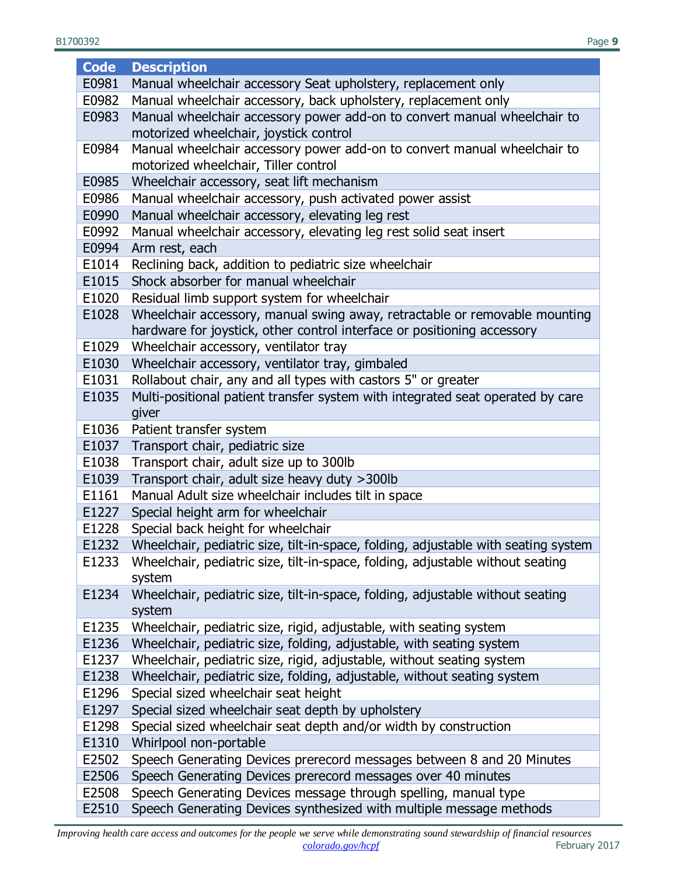B1700392 Page **9**

| <b>Code</b> | <b>Description</b>                                                                 |  |
|-------------|------------------------------------------------------------------------------------|--|
| E0981       | Manual wheelchair accessory Seat upholstery, replacement only                      |  |
| E0982       | Manual wheelchair accessory, back upholstery, replacement only                     |  |
| E0983       | Manual wheelchair accessory power add-on to convert manual wheelchair to           |  |
|             | motorized wheelchair, joystick control                                             |  |
| E0984       | Manual wheelchair accessory power add-on to convert manual wheelchair to           |  |
|             | motorized wheelchair, Tiller control                                               |  |
| E0985       | Wheelchair accessory, seat lift mechanism                                          |  |
| E0986       | Manual wheelchair accessory, push activated power assist                           |  |
| E0990       | Manual wheelchair accessory, elevating leg rest                                    |  |
| E0992       | Manual wheelchair accessory, elevating leg rest solid seat insert                  |  |
| E0994       | Arm rest, each                                                                     |  |
| E1014       | Reclining back, addition to pediatric size wheelchair                              |  |
| E1015       | Shock absorber for manual wheelchair                                               |  |
| E1020       | Residual limb support system for wheelchair                                        |  |
| E1028       | Wheelchair accessory, manual swing away, retractable or removable mounting         |  |
|             | hardware for joystick, other control interface or positioning accessory            |  |
| E1029       | Wheelchair accessory, ventilator tray                                              |  |
| E1030       | Wheelchair accessory, ventilator tray, gimbaled                                    |  |
| E1031       | Rollabout chair, any and all types with castors 5" or greater                      |  |
| E1035       | Multi-positional patient transfer system with integrated seat operated by care     |  |
|             | giver                                                                              |  |
| E1036       | Patient transfer system                                                            |  |
| E1037       | Transport chair, pediatric size                                                    |  |
| E1038       | Transport chair, adult size up to 300lb                                            |  |
| E1039       | Transport chair, adult size heavy duty > 300lb                                     |  |
| E1161       | Manual Adult size wheelchair includes tilt in space                                |  |
| E1227       | Special height arm for wheelchair                                                  |  |
| E1228       | Special back height for wheelchair                                                 |  |
| E1232       | Wheelchair, pediatric size, tilt-in-space, folding, adjustable with seating system |  |
| E1233       | Wheelchair, pediatric size, tilt-in-space, folding, adjustable without seating     |  |
|             | system                                                                             |  |
| E1234       | Wheelchair, pediatric size, tilt-in-space, folding, adjustable without seating     |  |
|             | system                                                                             |  |
| E1235       | Wheelchair, pediatric size, rigid, adjustable, with seating system                 |  |
| E1236       | Wheelchair, pediatric size, folding, adjustable, with seating system               |  |
| E1237       | Wheelchair, pediatric size, rigid, adjustable, without seating system              |  |
| E1238       | Wheelchair, pediatric size, folding, adjustable, without seating system            |  |
| E1296       | Special sized wheelchair seat height                                               |  |
| E1297       | Special sized wheelchair seat depth by upholstery                                  |  |
| E1298       | Special sized wheelchair seat depth and/or width by construction                   |  |
| E1310       | Whirlpool non-portable                                                             |  |
| E2502       | Speech Generating Devices prerecord messages between 8 and 20 Minutes              |  |
| E2506       | Speech Generating Devices prerecord messages over 40 minutes                       |  |
| E2508       | Speech Generating Devices message through spelling, manual type                    |  |
| E2510       | Speech Generating Devices synthesized with multiple message methods                |  |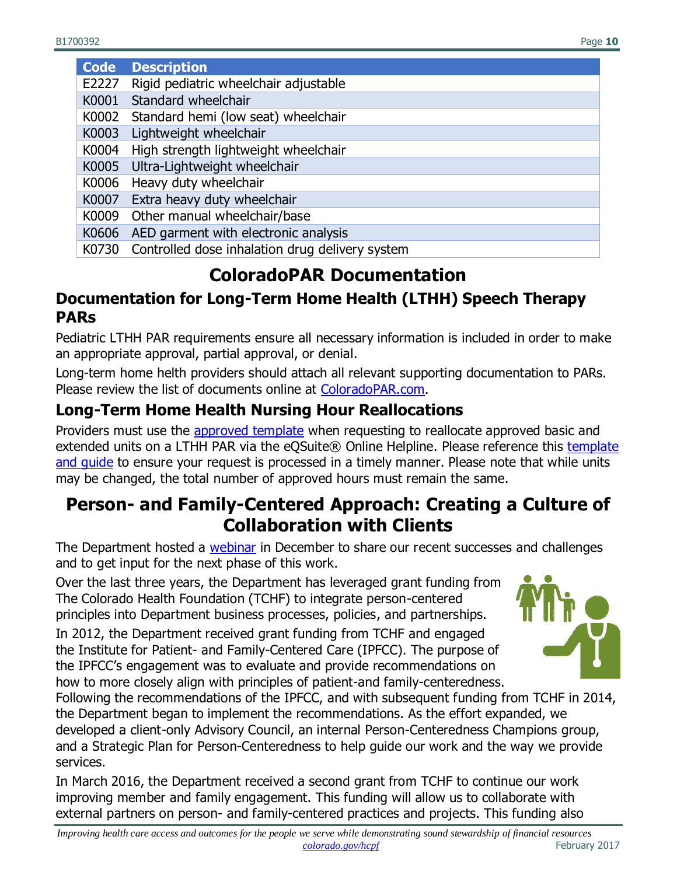| <b>Code</b> | <b>Description</b>                                    |
|-------------|-------------------------------------------------------|
| E2227       | Rigid pediatric wheelchair adjustable                 |
|             | K0001 Standard wheelchair                             |
|             | K0002 Standard hemi (low seat) wheelchair             |
| K0003       | Lightweight wheelchair                                |
|             | K0004 High strength lightweight wheelchair            |
|             | K0005 Ultra-Lightweight wheelchair                    |
|             | K0006 Heavy duty wheelchair                           |
|             | K0007 Extra heavy duty wheelchair                     |
|             | K0009 Other manual wheelchair/base                    |
|             | K0606 AED garment with electronic analysis            |
|             | K0730 Controlled dose inhalation drug delivery system |

### **ColoradoPAR Documentation**

#### <span id="page-9-0"></span>**Documentation for Long-Term Home Health (LTHH) Speech Therapy PARs**

Pediatric LTHH PAR requirements ensure all necessary information is included in order to make an appropriate approval, partial approval, or denial.

Long-term home helth providers should attach all relevant supporting documentation to PARs. Please review the list of documents online at [ColoradoPAR.com.](http://coloradopar.com/ProviderEducationTraining2/PediatricLongTermHomeHealth.aspx)

#### **Long-Term Home Health Nursing Hour Reallocations**

Providers must use the [approved template](http://www.coloradopar.com/Portals/2/JAN%202017/Pediatric%20Long%20Term%20Home%20Health%20Reallocations.pdf) when requesting to reallocate approved basic and extended units on a LTHH PAR via the eQSuite® Online Helpline. Please reference this [template](http://www.coloradopar.com/Portals/2/JAN%202017/Pediatric%20Long%20Term%20Home%20Health%20Reallocations.pdf)  and quide to ensure your request is processed in a timely manner. Please note that while units may be changed, the total number of approved hours must remain the same.

### <span id="page-9-1"></span>**Person- and Family-Centered Approach: Creating a Culture of Collaboration with Clients**

The Department hosted a [webinar](https://cohcpf.adobeconnect.com/p2qyb20fe9t/?launcher=false&fcsContent=true&pbMode=normal) in December to share our recent successes and challenges and to get input for the next phase of this work.

Over the last three years, the Department has leveraged grant funding from The Colorado Health Foundation (TCHF) to integrate person-centered principles into Department business processes, policies, and partnerships.

In 2012, the Department received grant funding from TCHF and engaged the Institute for Patient- and Family-Centered Care (IPFCC). The purpose of the IPFCC's engagement was to evaluate and provide recommendations on how to more closely align with principles of patient-and family-centeredness.



Following the recommendations of the IPFCC, and with subsequent funding from TCHF in 2014, the Department began to implement the recommendations. As the effort expanded, we developed a client-only Advisory Council, an internal Person-Centeredness Champions group, and a Strategic Plan for Person-Centeredness to help guide our work and the way we provide services.

In March 2016, the Department received a second grant from TCHF to continue our work improving member and family engagement. This funding will allow us to collaborate with external partners on person- and family-centered practices and projects. This funding also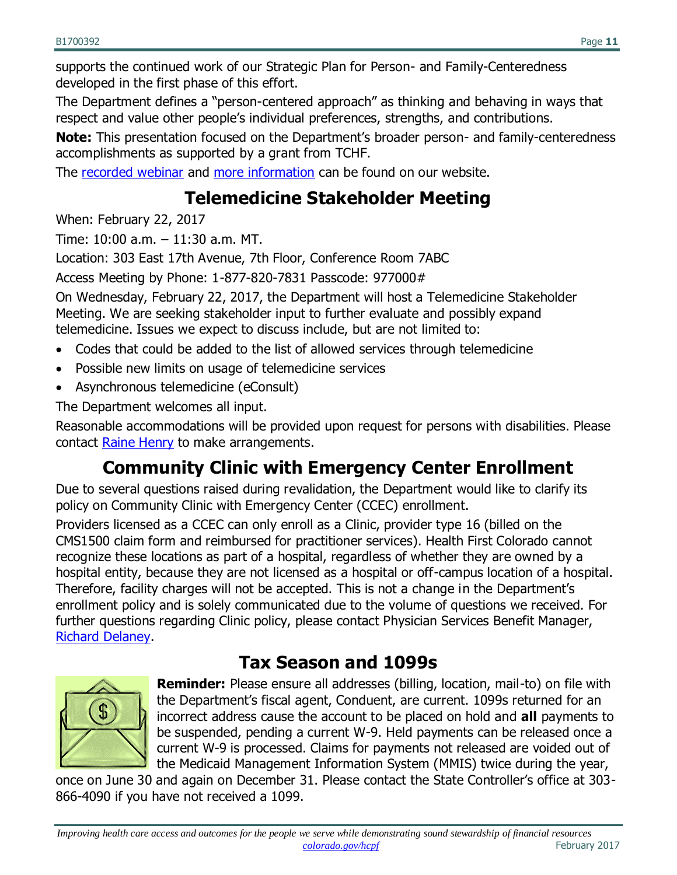supports the continued work of our Strategic Plan for Person- and Family-Centeredness developed in the first phase of this effort.

The Department defines a "person-centered approach" as thinking and behaving in ways that respect and value other people's individual preferences, strengths, and contributions.

**Note:** This presentation focused on the Department's broader person- and family-centeredness accomplishments as supported by a grant from TCHF.

<span id="page-10-0"></span>The [recorded webinar](https://cohcpf.adobeconnect.com/p2qyb20fe9t/?launcher=false&fcsContent=true&pbMode=normal) and [more information](https://www.colorado.gov/hcpf/person-and-family-centeredness-advisory-councils) can be found on our website.

### **Telemedicine Stakeholder Meeting**

When: February 22, 2017

Time: 10:00 a.m. – 11:30 a.m. MT.

Location: 303 East 17th Avenue, 7th Floor, Conference Room 7ABC

Access Meeting by Phone: 1-877-820-7831 Passcode: 977000#

On Wednesday, February 22, 2017, the Department will host a Telemedicine Stakeholder Meeting. We are seeking stakeholder input to further evaluate and possibly expand telemedicine. Issues we expect to discuss include, but are not limited to:

- Codes that could be added to the list of allowed services through telemedicine
- Possible new limits on usage of telemedicine services
- Asynchronous telemedicine (eConsult)

The Department welcomes all input.

Reasonable accommodations will be provided upon request for persons with disabilities. Please contact [Raine Henry](mailto:raine.henry@state.co.us) to make arrangements.

# **Community Clinic with Emergency Center Enrollment**

<span id="page-10-1"></span>Due to several questions raised during revalidation, the Department would like to clarify its policy on Community Clinic with Emergency Center (CCEC) enrollment.

Providers licensed as a CCEC can only enroll as a Clinic, provider type 16 (billed on the CMS1500 claim form and reimbursed for practitioner services). Health First Colorado cannot recognize these locations as part of a hospital, regardless of whether they are owned by a hospital entity, because they are not licensed as a hospital or off-campus location of a hospital. Therefore, facility charges will not be accepted. This is not a change in the Department's enrollment policy and is solely communicated due to the volume of questions we received. For further questions regarding Clinic policy, please contact Physician Services Benefit Manager, [Richard Delaney.](mailto:Richard.delaney@state.co.us)

### **Tax Season and 1099s**

<span id="page-10-2"></span>

**Reminder:** Please ensure all addresses (billing, location, mail-to) on file with the Department's fiscal agent, Conduent, are current. 1099s returned for an incorrect address cause the account to be placed on hold and **all** payments to be suspended, pending a current W-9. Held payments can be released once a current W-9 is processed. Claims for payments not released are voided out of the Medicaid Management Information System (MMIS) twice during the year,

once on June 30 and again on December 31. Please contact the State Controller's office at 303- 866-4090 if you have not received a 1099.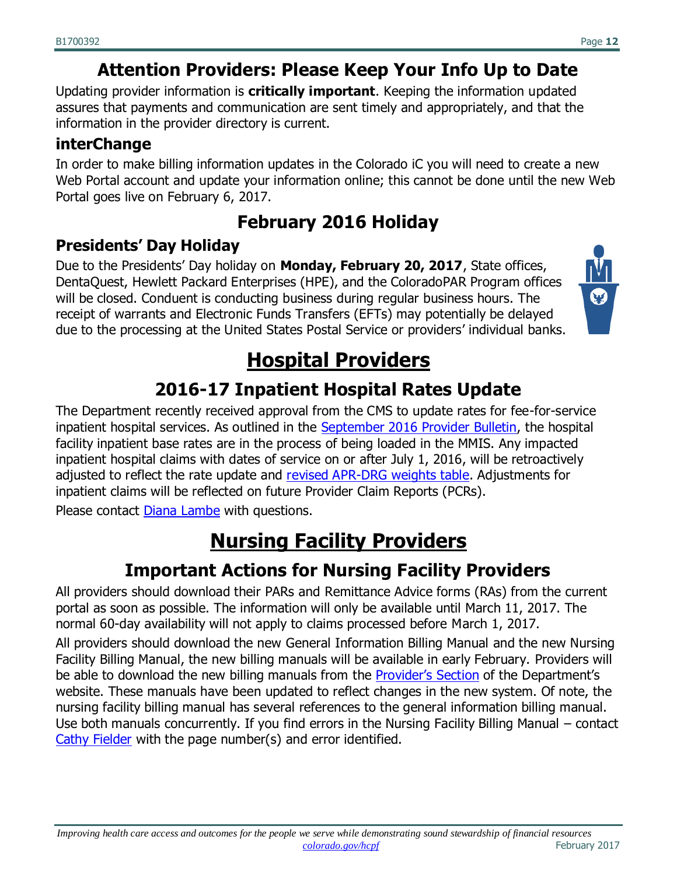# **Attention Providers: Please Keep Your Info Up to Date**

<span id="page-11-0"></span>Updating provider information is **critically important**. Keeping the information updated assures that payments and communication are sent timely and appropriately, and that the information in the provider directory is current.

### **interChange**

In order to make billing information updates in the Colorado iC you will need to create a new Web Portal account and update your information online; this cannot be done until the new Web Portal goes live on February 6, 2017.

# **February 2016 Holiday**

#### <span id="page-11-1"></span>**Presidents' Day Holiday**

Due to the Presidents' Day holiday on **Monday, February 20, 2017**, State offices, DentaQuest, Hewlett Packard Enterprises (HPE), and the ColoradoPAR Program offices will be closed. Conduent is conducting business during regular business hours. The receipt of warrants and Electronic Funds Transfers (EFTs) may potentially be delayed due to the processing at the United States Postal Service or providers' individual banks.



# **Hospital Providers**

# **2016-17 Inpatient Hospital Rates Update**

<span id="page-11-3"></span><span id="page-11-2"></span>The Department recently received approval from the CMS to update rates for fee-for-service inpatient hospital services. As outlined in the [September 2016 Provider Bulletin,](https://www.colorado.gov/pacific/sites/default/files/Bulletin_0916_B1600386.pdf) the hospital facility inpatient base rates are in the process of being loaded in the MMIS. Any impacted inpatient hospital claims with dates of service on or after July 1, 2016, will be retroactively adjusted to reflect the rate update and [revised APR-DRG weights table.](https://www.colorado.gov/pacific/hcpf/inpatient-hospital-payment) Adjustments for inpatient claims will be reflected on future Provider Claim Reports (PCRs).

<span id="page-11-4"></span>Please contact [Diana Lambe](mailto:Diana.Lambe@state.co.us) with questions.

# **Nursing Facility Providers**

### **Important Actions for Nursing Facility Providers**

<span id="page-11-5"></span>All providers should download their PARs and Remittance Advice forms (RAs) from the current portal as soon as possible. The information will only be available until March 11, 2017. The normal 60-day availability will not apply to claims processed before March 1, 2017.

All providers should download the new General Information Billing Manual and the new Nursing Facility Billing Manual, the new billing manuals will be available in early February. Providers will be able to download the new billing manuals from the [Provider's Section](file:///C:/Users/20606767/AppData/Local/Microsoft/Windows/Temporary%20Internet%20Files/Content.Outlook/BXRIS3G3/Colorado.gov/HCPF/Billing-Manuals) of the Department's website. These manuals have been updated to reflect changes in the new system. Of note, the nursing facility billing manual has several references to the general information billing manual. Use both manuals concurrently. If you find errors in the Nursing Facility Billing Manual – contact [Cathy Fielder](mailto:Cathy.Fielder@state.co.us) with the page number(s) and error identified.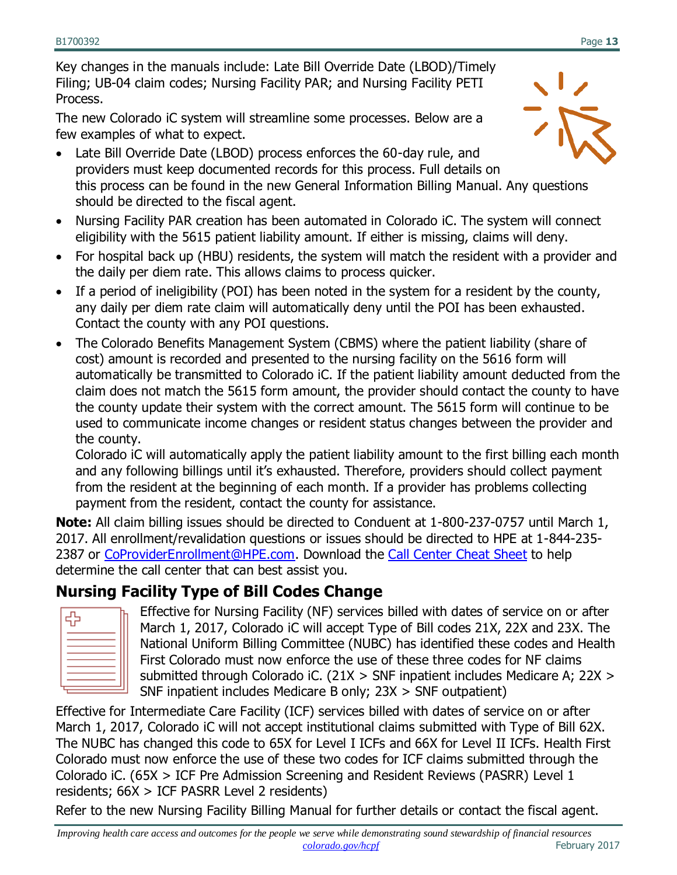Key changes in the manuals include: Late Bill Override Date (LBOD)/Timely Filing; UB-04 claim codes; Nursing Facility PAR; and Nursing Facility PETI Process.

The new Colorado iC system will streamline some processes. Below are a few examples of what to expect.

- Late Bill Override Date (LBOD) process enforces the 60-day rule, and providers must keep documented records for this process. Full details on this process can be found in the new General Information Billing Manual. Any questions should be directed to the fiscal agent.
- Nursing Facility PAR creation has been automated in Colorado iC. The system will connect eligibility with the 5615 patient liability amount. If either is missing, claims will deny.
- For hospital back up (HBU) residents, the system will match the resident with a provider and the daily per diem rate. This allows claims to process quicker.
- If a period of ineligibility (POI) has been noted in the system for a resident by the county, any daily per diem rate claim will automatically deny until the POI has been exhausted. Contact the county with any POI questions.
- The Colorado Benefits Management System (CBMS) where the patient liability (share of cost) amount is recorded and presented to the nursing facility on the 5616 form will automatically be transmitted to Colorado iC. If the patient liability amount deducted from the claim does not match the 5615 form amount, the provider should contact the county to have the county update their system with the correct amount. The 5615 form will continue to be used to communicate income changes or resident status changes between the provider and the county.

Colorado iC will automatically apply the patient liability amount to the first billing each month and any following billings until it's exhausted. Therefore, providers should collect payment from the resident at the beginning of each month. If a provider has problems collecting payment from the resident, contact the county for assistance.

**Note:** All claim billing issues should be directed to Conduent at 1-800-237-0757 until March 1, 2017. All enrollment/revalidation questions or issues should be directed to HPE at 1-844-235- 2387 or [CoProviderEnrollment@HPE.com.](mailto:CoProviderEnrollment@HPE.com) Download the [Call Center Cheat Sheet](https://drive.google.com/file/d/0ByTJ5EpY6wocYjMydFZvaFA5YjQ/view) to help determine the call center that can best assist you.

#### **Nursing Facility Type of Bill Codes Change**

| c |  |
|---|--|
|   |  |
|   |  |
|   |  |
|   |  |
|   |  |
|   |  |

Effective for Nursing Facility (NF) services billed with dates of service on or after March 1, 2017, Colorado iC will accept Type of Bill codes 21X, 22X and 23X. The National Uniform Billing Committee (NUBC) has identified these codes and Health First Colorado must now enforce the use of these three codes for NF claims submitted through Colorado iC. (21X > SNF inpatient includes Medicare A; 22X > SNF inpatient includes Medicare B only; 23X > SNF outpatient)

Effective for Intermediate Care Facility (ICF) services billed with dates of service on or after March 1, 2017, Colorado iC will not accept institutional claims submitted with Type of Bill 62X. The NUBC has changed this code to 65X for Level I ICFs and 66X for Level II ICFs. Health First Colorado must now enforce the use of these two codes for ICF claims submitted through the Colorado iC. (65X > ICF Pre Admission Screening and Resident Reviews (PASRR) Level 1 residents; 66X > ICF PASRR Level 2 residents)

Refer to the new Nursing Facility Billing Manual for further details or contact the fiscal agent.

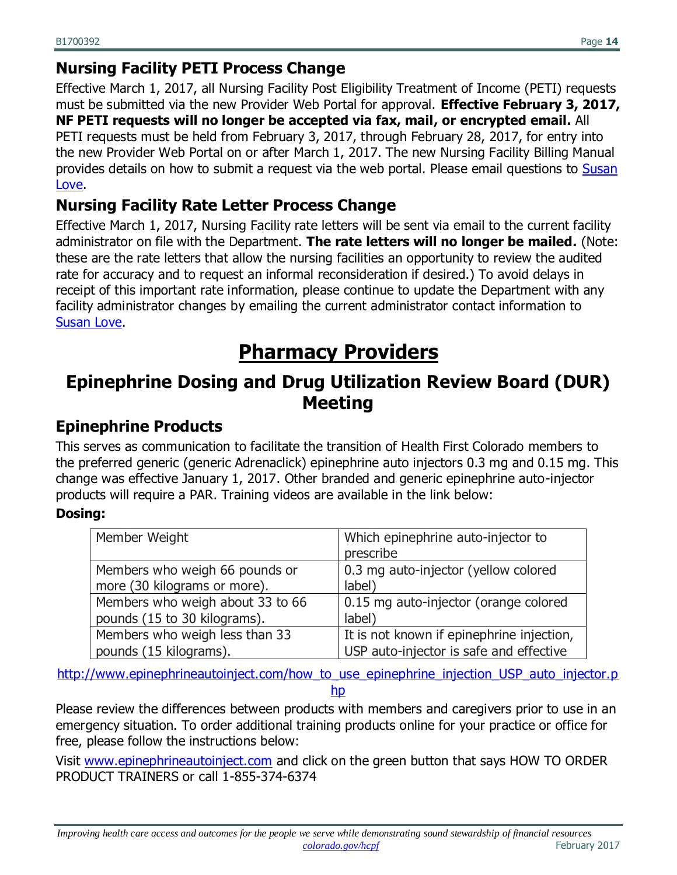#### **Nursing Facility PETI Process Change**

Effective March 1, 2017, all Nursing Facility Post Eligibility Treatment of Income (PETI) requests must be submitted via the new Provider Web Portal for approval. **Effective February 3, 2017, NF PETI requests will no longer be accepted via fax, mail, or encrypted email.** All PETI requests must be held from February 3, 2017, through February 28, 2017, for entry into the new Provider Web Portal on or after March 1, 2017. The new Nursing Facility Billing Manual provides details on how to submit a request via the web portal. Please email questions to Susan [Love.](mailto:Susan.Love@state.co.us)

#### **Nursing Facility Rate Letter Process Change**

Effective March 1, 2017, Nursing Facility rate letters will be sent via email to the current facility administrator on file with the Department. **The rate letters will no longer be mailed.** (Note: these are the rate letters that allow the nursing facilities an opportunity to review the audited rate for accuracy and to request an informal reconsideration if desired.) To avoid delays in receipt of this important rate information, please continue to update the Department with any facility administrator changes by emailing the current administrator contact information to [Susan Love.](mailto:Susan.Love@state.co.us)

# **Pharmacy Providers**

### <span id="page-13-1"></span><span id="page-13-0"></span>**Epinephrine Dosing and Drug Utilization Review Board (DUR) Meeting**

#### **Epinephrine Products**

This serves as communication to facilitate the transition of Health First Colorado members to the preferred generic (generic Adrenaclick) epinephrine auto injectors 0.3 mg and 0.15 mg. This change was effective January 1, 2017. Other branded and generic epinephrine auto-injector products will require a PAR. Training videos are available in the link below:

#### **Dosing:**

| Member Weight                    | Which epinephrine auto-injector to<br>prescribe |
|----------------------------------|-------------------------------------------------|
| Members who weigh 66 pounds or   | 0.3 mg auto-injector (yellow colored            |
| more (30 kilograms or more).     | label)                                          |
| Members who weigh about 33 to 66 | 0.15 mg auto-injector (orange colored           |
| pounds (15 to 30 kilograms).     | label)                                          |
| Members who weigh less than 33   | It is not known if epinephrine injection,       |
| pounds (15 kilograms).           | USP auto-injector is safe and effective         |

http://www.epinephrineautoinject.com/how to use epinephrine injection USP auto injector.p [hp](http://www.epinephrineautoinject.com/how_to_use_epinephrine_injection_USP_auto_injector.php)

Please review the differences between products with members and caregivers prior to use in an emergency situation. To order additional training products online for your practice or office for free, please follow the instructions below:

Visit [www.epinephrineautoinject.com](http://www.epinephrineautoinject.com/how_to_use_epinephrine_injection_USP_auto_injector.php) and click on the green button that says HOW TO ORDER PRODUCT TRAINERS or call 1-855-374-6374